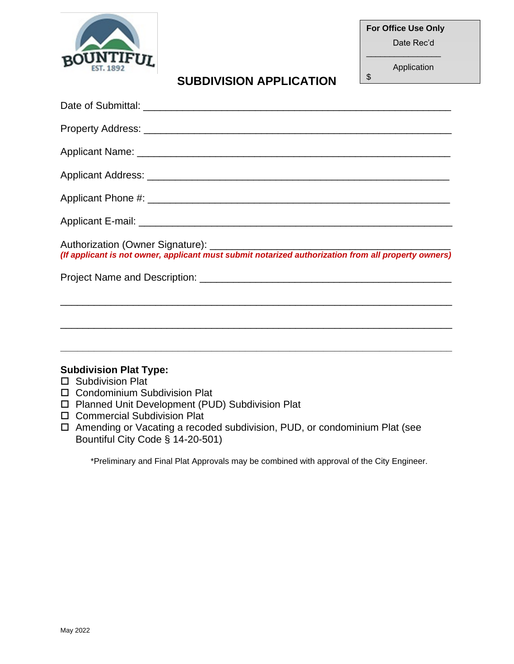

**For Office Use Only**

Date Rec'd

 $\overline{\phantom{a}}$  , where the contract of the contract of the contract of the contract of the contract of the contract of the contract of the contract of the contract of the contract of the contract of the contract of the contr Application  $\frac{1}{2}$ 

# **SUBDIVISION APPLICATION**

| Authorization (Owner Signature): <b>containt of the interpretation of the Signatism</b> (If applicant is not owners)                                                                                                                                           |
|----------------------------------------------------------------------------------------------------------------------------------------------------------------------------------------------------------------------------------------------------------------|
|                                                                                                                                                                                                                                                                |
| ,我们也不能在这里的时候,我们也不能在这里的时候,我们也不能在这里的时候,我们也不能会不能在这里的时候,我们也不能会不能会不能会不能会不能会不能会不能会不能会不                                                                                                                                                                               |
|                                                                                                                                                                                                                                                                |
| ,我们也不能在这里的人,我们也不能在这里的人,我们也不能在这里的人,我们也不能在这里的人,我们也不能在这里的人,我们也不能在这里的人,我们也不能在这里的人,我们也                                                                                                                                                                              |
| <b>Subdivision Plat Type:</b><br><b>Subdivision Plat</b>                                                                                                                                                                                                       |
| <b>Condominium Subdivision Plat</b><br>$\Box$<br>□ Planned Unit Development (PUD) Subdivision Plat<br>□ Commercial Subdivision Plat<br>Amending or Vacating a recoded subdivision, PUD, or condominium Plat (see<br>$\Box$<br>Bountiful City Code § 14-20-501) |

\*Preliminary and Final Plat Approvals may be combined with approval of the City Engineer.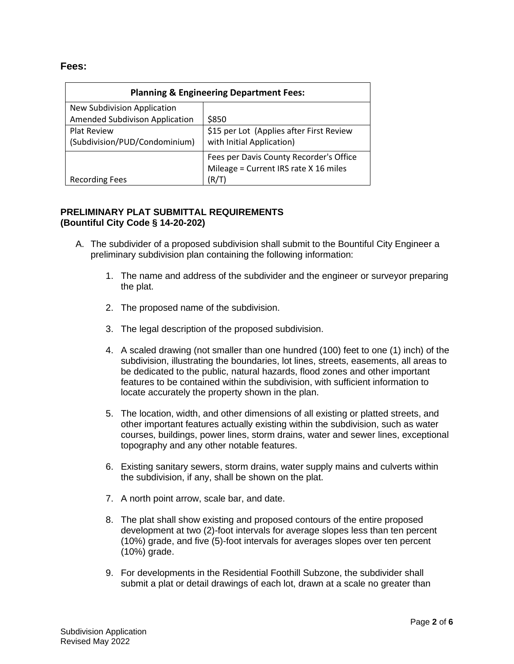# **Fees:**

| <b>Planning &amp; Engineering Department Fees:</b> |                                          |  |
|----------------------------------------------------|------------------------------------------|--|
| <b>New Subdivision Application</b>                 |                                          |  |
| Amended Subdivison Application                     | \$850                                    |  |
| <b>Plat Review</b>                                 | \$15 per Lot (Applies after First Review |  |
| (Subdivision/PUD/Condominium)                      | with Initial Application)                |  |
|                                                    | Fees per Davis County Recorder's Office  |  |
|                                                    | Mileage = Current IRS rate X 16 miles    |  |
| <b>Recording Fees</b>                              | (R/T)                                    |  |

# **PRELIMINARY PLAT SUBMITTAL REQUIREMENTS (Bountiful City Code § 14-20-202)**

- A. The subdivider of a proposed subdivision shall submit to the Bountiful City Engineer a preliminary subdivision plan containing the following information:
	- 1. The name and address of the subdivider and the engineer or surveyor preparing the plat.
	- 2. The proposed name of the subdivision.
	- 3. The legal description of the proposed subdivision.
	- 4. A scaled drawing (not smaller than one hundred (100) feet to one (1) inch) of the subdivision, illustrating the boundaries, lot lines, streets, easements, all areas to be dedicated to the public, natural hazards, flood zones and other important features to be contained within the subdivision, with sufficient information to locate accurately the property shown in the plan.
	- 5. The location, width, and other dimensions of all existing or platted streets, and other important features actually existing within the subdivision, such as water courses, buildings, power lines, storm drains, water and sewer lines, exceptional topography and any other notable features.
	- 6. Existing sanitary sewers, storm drains, water supply mains and culverts within the subdivision, if any, shall be shown on the plat.
	- 7. A north point arrow, scale bar, and date.
	- 8. The plat shall show existing and proposed contours of the entire proposed development at two (2)-foot intervals for average slopes less than ten percent (10%) grade, and five (5)-foot intervals for averages slopes over ten percent (10%) grade.
	- 9. For developments in the Residential Foothill Subzone, the subdivider shall submit a plat or detail drawings of each lot, drawn at a scale no greater than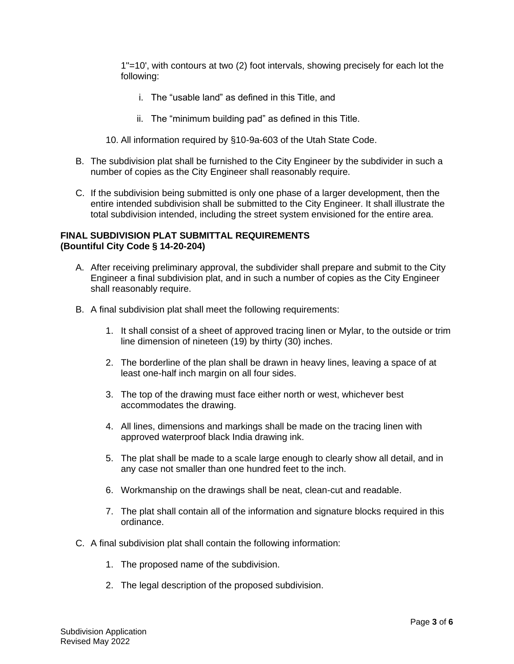1"=10', with contours at two (2) foot intervals, showing precisely for each lot the following:

- i. The "usable land" as defined in this Title, and
- ii. The "minimum building pad" as defined in this Title.

10. All information required by §10-9a-603 of the Utah State Code.

- B. The subdivision plat shall be furnished to the City Engineer by the subdivider in such a number of copies as the City Engineer shall reasonably require.
- C. If the subdivision being submitted is only one phase of a larger development, then the entire intended subdivision shall be submitted to the City Engineer. It shall illustrate the total subdivision intended, including the street system envisioned for the entire area.

#### **FINAL SUBDIVISION PLAT SUBMITTAL REQUIREMENTS (Bountiful City Code § 14-20-204)**

- A. After receiving preliminary approval, the subdivider shall prepare and submit to the City Engineer a final subdivision plat, and in such a number of copies as the City Engineer shall reasonably require.
- B. A final subdivision plat shall meet the following requirements:
	- 1. It shall consist of a sheet of approved tracing linen or Mylar, to the outside or trim line dimension of nineteen (19) by thirty (30) inches.
	- 2. The borderline of the plan shall be drawn in heavy lines, leaving a space of at least one-half inch margin on all four sides.
	- 3. The top of the drawing must face either north or west, whichever best accommodates the drawing.
	- 4. All lines, dimensions and markings shall be made on the tracing linen with approved waterproof black India drawing ink.
	- 5. The plat shall be made to a scale large enough to clearly show all detail, and in any case not smaller than one hundred feet to the inch.
	- 6. Workmanship on the drawings shall be neat, clean-cut and readable.
	- 7. The plat shall contain all of the information and signature blocks required in this ordinance.
- C. A final subdivision plat shall contain the following information:
	- 1. The proposed name of the subdivision.
	- 2. The legal description of the proposed subdivision.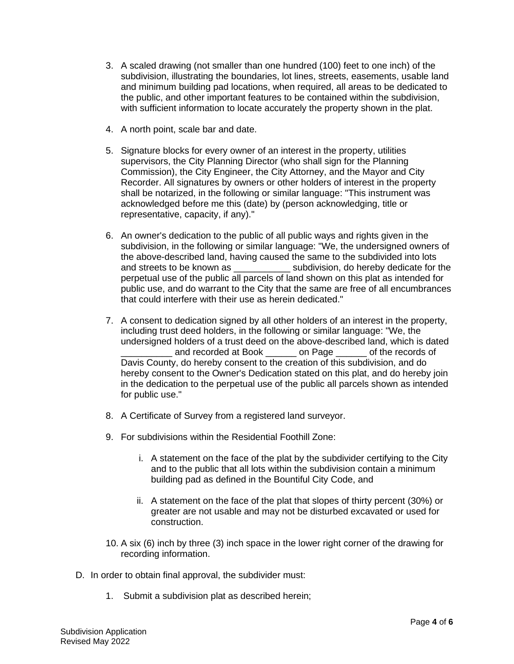- 3. A scaled drawing (not smaller than one hundred (100) feet to one inch) of the subdivision, illustrating the boundaries, lot lines, streets, easements, usable land and minimum building pad locations, when required, all areas to be dedicated to the public, and other important features to be contained within the subdivision, with sufficient information to locate accurately the property shown in the plat.
- 4. A north point, scale bar and date.
- 5. Signature blocks for every owner of an interest in the property, utilities supervisors, the City Planning Director (who shall sign for the Planning Commission), the City Engineer, the City Attorney, and the Mayor and City Recorder. All signatures by owners or other holders of interest in the property shall be notarized, in the following or similar language: "This instrument was acknowledged before me this (date) by (person acknowledging, title or representative, capacity, if any)."
- 6. An owner's dedication to the public of all public ways and rights given in the subdivision, in the following or similar language: "We, the undersigned owners of the above-described land, having caused the same to the subdivided into lots and streets to be known as  $\qquad \qquad$  subdivision, do hereby dedicate for the perpetual use of the public all parcels of land shown on this plat as intended for public use, and do warrant to the City that the same are free of all encumbrances that could interfere with their use as herein dedicated."
- 7. A consent to dedication signed by all other holders of an interest in the property, including trust deed holders, in the following or similar language: "We, the undersigned holders of a trust deed on the above-described land, which is dated and recorded at Book and Page and records of Davis County, do hereby consent to the creation of this subdivision, and do hereby consent to the Owner's Dedication stated on this plat, and do hereby join in the dedication to the perpetual use of the public all parcels shown as intended for public use."
- 8. A Certificate of Survey from a registered land surveyor.
- 9. For subdivisions within the Residential Foothill Zone:
	- i. A statement on the face of the plat by the subdivider certifying to the City and to the public that all lots within the subdivision contain a minimum building pad as defined in the Bountiful City Code, and
	- ii. A statement on the face of the plat that slopes of thirty percent (30%) or greater are not usable and may not be disturbed excavated or used for construction.
- 10. A six (6) inch by three (3) inch space in the lower right corner of the drawing for recording information.
- D. In order to obtain final approval, the subdivider must:
	- 1. Submit a subdivision plat as described herein;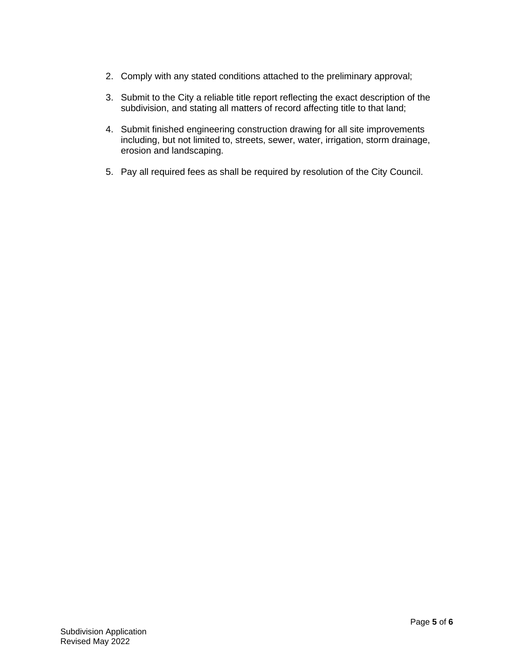- 2. Comply with any stated conditions attached to the preliminary approval;
- 3. Submit to the City a reliable title report reflecting the exact description of the subdivision, and stating all matters of record affecting title to that land;
- 4. Submit finished engineering construction drawing for all site improvements including, but not limited to, streets, sewer, water, irrigation, storm drainage, erosion and landscaping.
- 5. Pay all required fees as shall be required by resolution of the City Council.